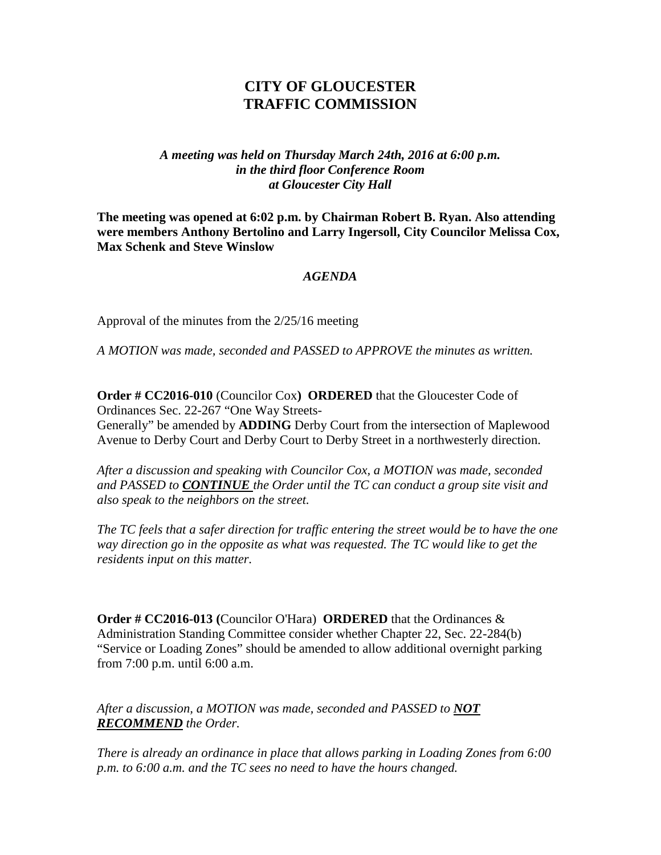## **CITY OF GLOUCESTER TRAFFIC COMMISSION**

## *A meeting was held on Thursday March 24th, 2016 at 6:00 p.m. in the third floor Conference Room at Gloucester City Hall*

**The meeting was opened at 6:02 p.m. by Chairman Robert B. Ryan. Also attending were members Anthony Bertolino and Larry Ingersoll, City Councilor Melissa Cox, Max Schenk and Steve Winslow**

## *AGENDA*

Approval of the minutes from the 2/25/16 meeting

*A MOTION was made, seconded and PASSED to APPROVE the minutes as written.*

**Order # CC2016-010** (Councilor Cox**) ORDERED** that the Gloucester Code of Ordinances Sec. 22-267 "One Way Streets-Generally" be amended by **ADDING** Derby Court from the intersection of Maplewood Avenue to Derby Court and Derby Court to Derby Street in a northwesterly direction.

*After a discussion and speaking with Councilor Cox, a MOTION was made, seconded and PASSED to CONTINUE the Order until the TC can conduct a group site visit and also speak to the neighbors on the street.*

*The TC feels that a safer direction for traffic entering the street would be to have the one way direction go in the opposite as what was requested. The TC would like to get the residents input on this matter.*

**Order # CC2016-013 (**Councilor O'Hara) **ORDERED** that the Ordinances & Administration Standing Committee consider whether Chapter 22, Sec. 22-284(b) "Service or Loading Zones" should be amended to allow additional overnight parking from 7:00 p.m. until 6:00 a.m.

*After a discussion, a MOTION was made, seconded and PASSED to NOT RECOMMEND the Order.*

*There is already an ordinance in place that allows parking in Loading Zones from 6:00 p.m. to 6:00 a.m. and the TC sees no need to have the hours changed.*